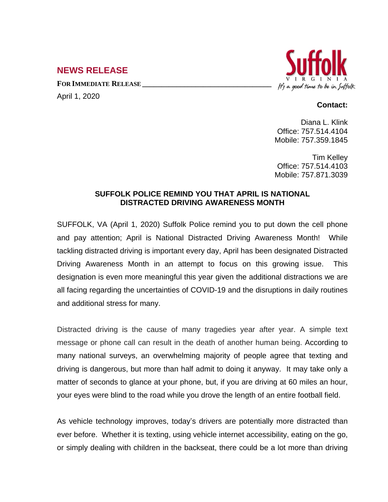## **NEWS RELEASE**

**FOR IMMEDIATE RELEASE \_\_\_\_\_\_\_\_\_\_\_\_\_\_\_\_\_\_\_\_\_\_\_\_\_\_\_\_\_\_\_\_\_\_**

April 1, 2020



## **Contact:**

Diana L. Klink Office: 757.514.4104 Mobile: 757.359.1845

Tim Kelley Office: 757.514.4103 Mobile: 757.871.3039

## **SUFFOLK POLICE REMIND YOU THAT APRIL IS NATIONAL DISTRACTED DRIVING AWARENESS MONTH**

SUFFOLK, VA (April 1, 2020) Suffolk Police remind you to put down the cell phone and pay attention; April is National Distracted Driving Awareness Month! While tackling distracted driving is important every day, April has been designated Distracted Driving Awareness Month in an attempt to focus on this growing issue. This designation is even more meaningful this year given the additional distractions we are all facing regarding the uncertainties of COVID-19 and the disruptions in daily routines and additional stress for many.

Distracted driving is the cause of many tragedies year after year. A simple text message or phone call can result in the death of another human being. According to many national surveys, an overwhelming majority of people agree that texting and driving is dangerous, but more than half admit to doing it anyway. It may take only a matter of seconds to glance at your phone, but, if you are driving at 60 miles an hour, your eyes were blind to the road while you drove the length of an entire football field.

As vehicle technology improves, today's drivers are potentially more distracted than ever before. Whether it is texting, using vehicle internet accessibility, eating on the go, or simply dealing with children in the backseat, there could be a lot more than driving